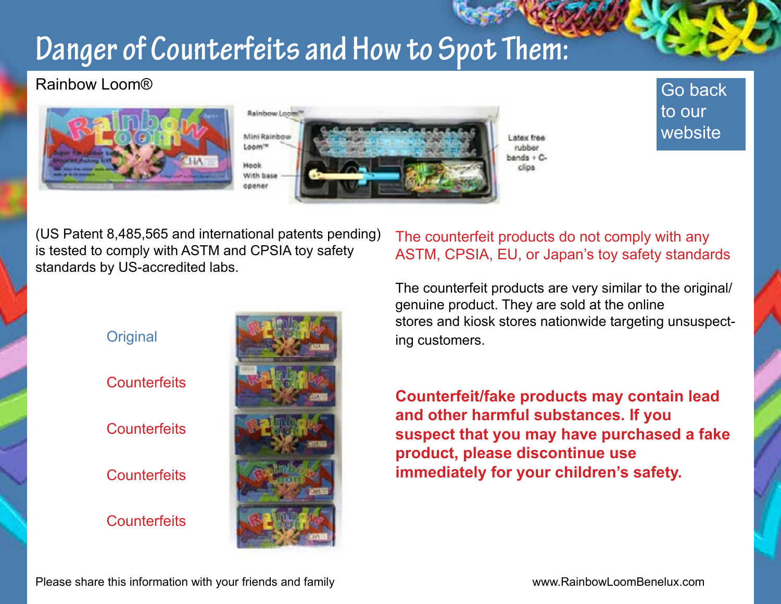### **Danger of Counterfeits and How to Spot Them:**

### Rainbow Loom®



**Original** 



rakka ands + Cclina

### [Go back](http://www.rainbowloombenelux.com)  to our website

(US Patent 8,485,565 and international patents pending) is tested to comply with ASTM and CPSIA toy safety standards by US-accredited labs.



#### The counterfeit products do not comply with any ASTM, CPSIA, EU, or Japan's toy safety standards

The counterfeit products are very similar to the original/ genuine product. They are sold at the online stores and kiosk stores nationwide targeting unsuspecting customers.

**Counterfeit/fake products may contain lead and other harmful substances. If you suspect that you may have purchased a fake product, please discontinue use immediately for your children's safety.**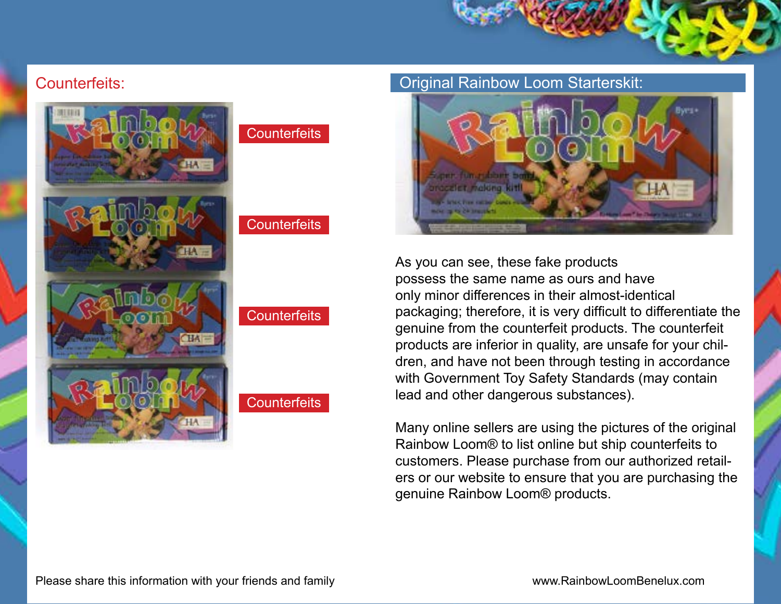#### Counterfeits:





#### **Counterfeits**

#### Original Rainbow Loom Starterskit:



As you can see, these fake products possess the same name as ours and have only minor differences in their almost-identical packaging; therefore, it is very difficult to differentiate the genuine from the counterfeit products. The counterfeit products are inferior in quality, are unsafe for your children, and have not been through testing in accordance with Government Toy Safety Standards (may contain lead and other dangerous substances).

Many online sellers are using the pictures of the original Rainbow Loom® to list online but ship counterfeits to customers. Please purchase from our authorized retailers or our website to ensure that you are purchasing the genuine Rainbow Loom® products.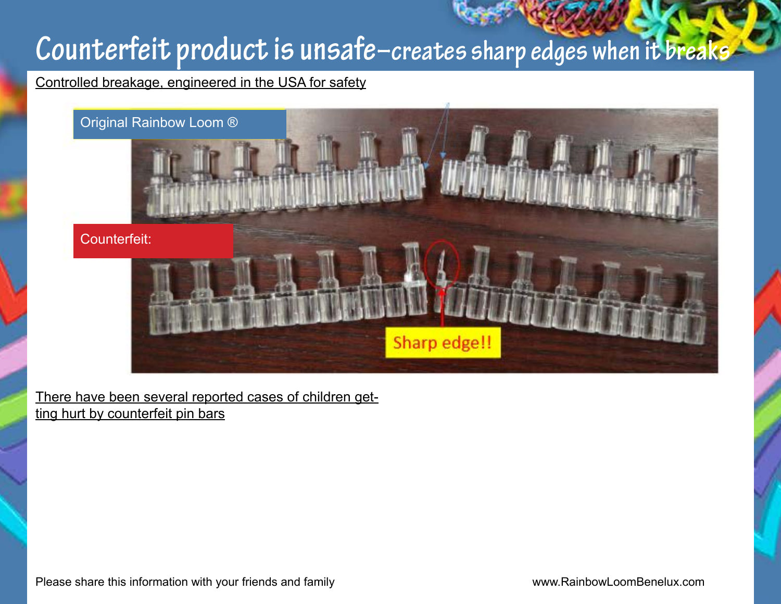### **Counterfeit product is unsafe–creates sharp edges when it breaks**

Controlled breakage, engineered in the USA for safety



There have been several reported cases of children getting hurt by counterfeit pin bars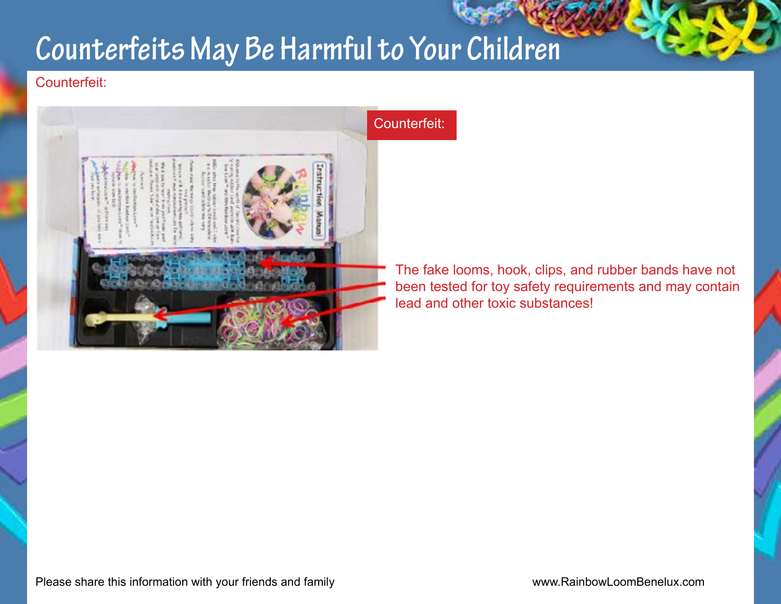## **Counterfeits May Be Harmful to Your Children**

#### Counterfeit:



The fake looms, hook, clips, and rubber bands have not been tested for toy safety requirements and may contain lead and other toxic substances!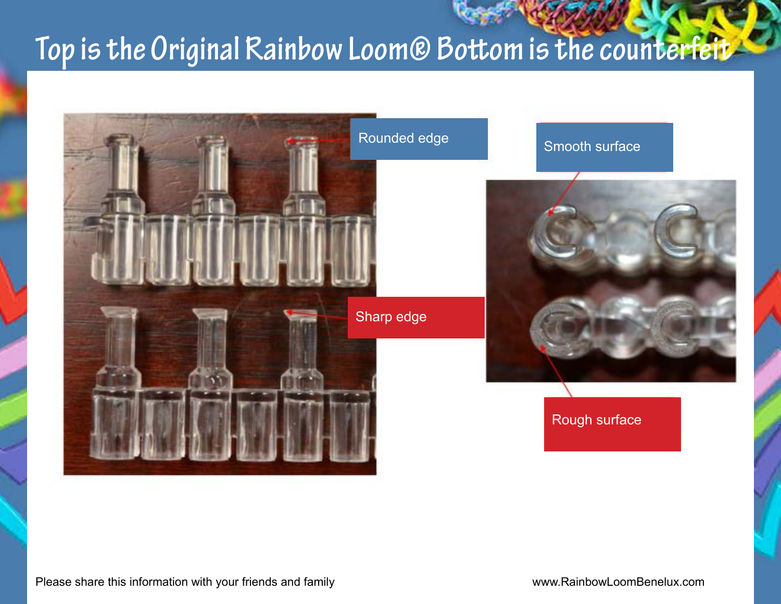### **Top is the Original Rainbow Loom® Bottom is the counterfeit**

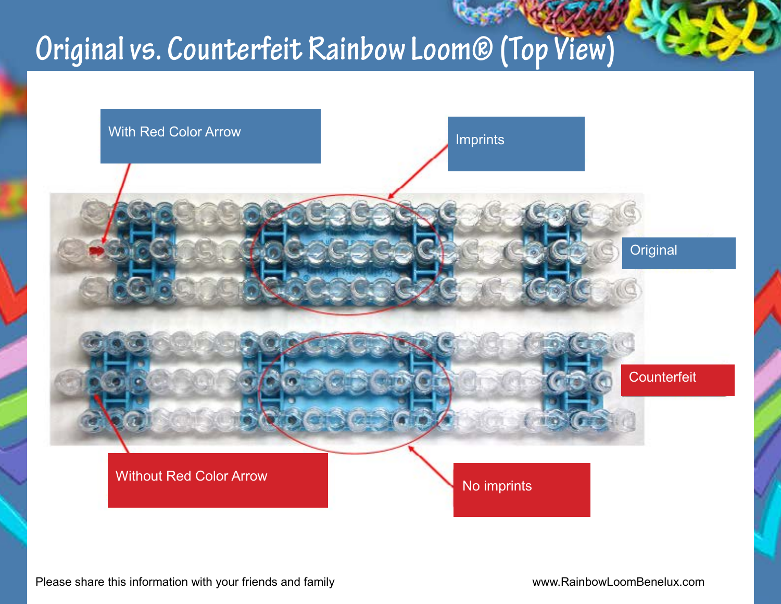### **Original vs. Counterfeit Rainbow Loom® (Top View)**

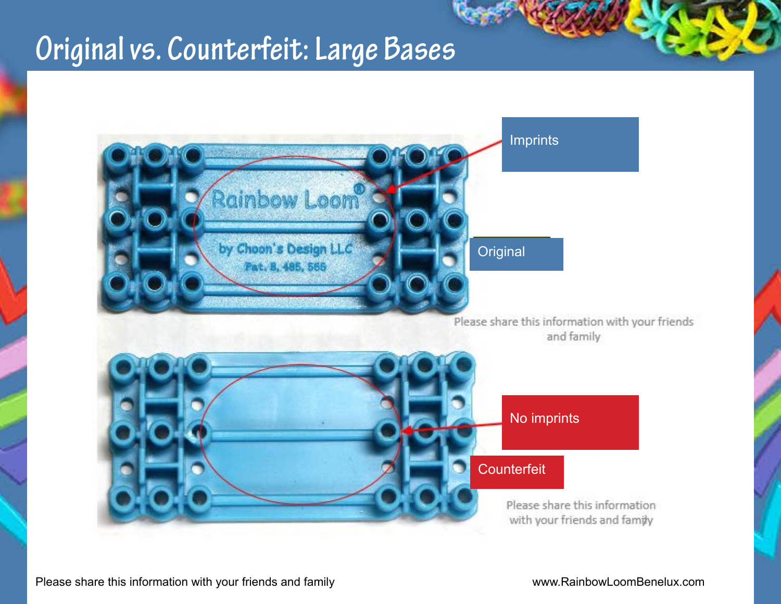### **Original vs. Counterfeit: Large Bases**

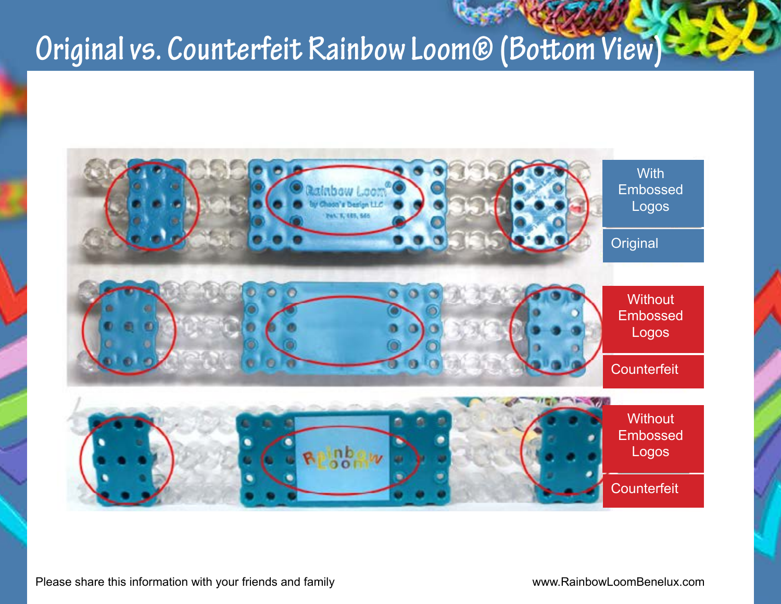### **Original vs. Counterfeit Rainbow Loom® (Bottom View)**

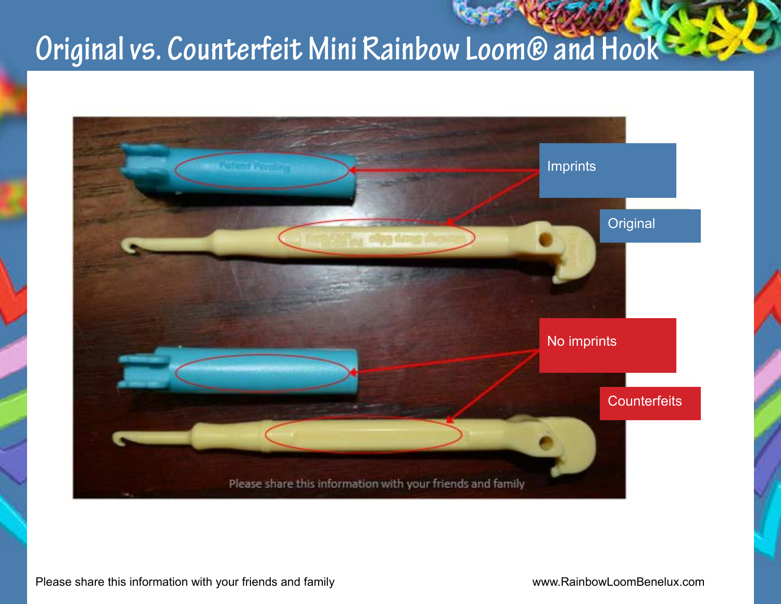# **Original vs. Counterfeit Mini Rainbow Loom® and Hook**

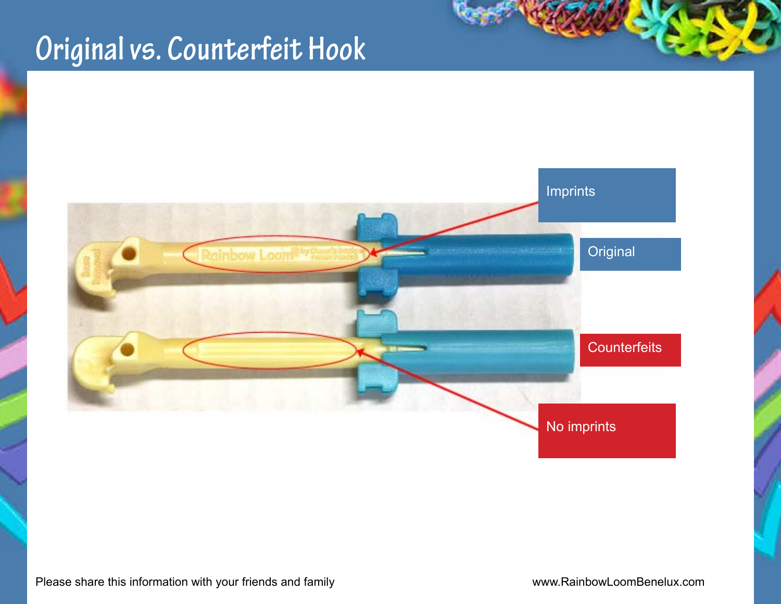## **Original vs. Counterfeit Hook**



Please share this information with your friends and family **[www.RainbowLoomBenelux.com](http://www.rainbowloombenelux.com)**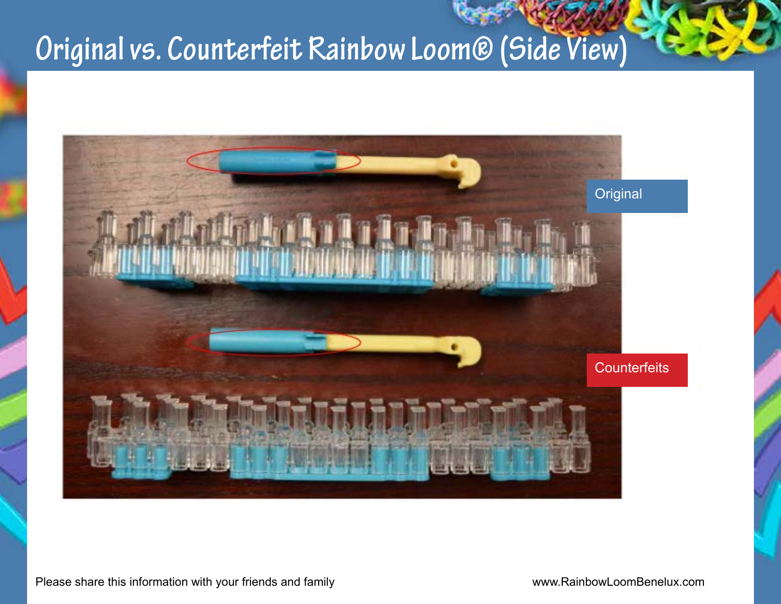# **Original vs. Counterfeit Rainbow Loom® (Side View)**